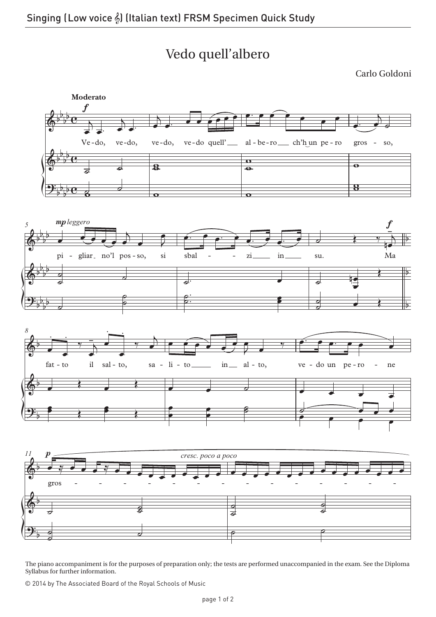## Vedo quell'albero

Carlo Goldoni



The piano accompaniment is for the purposes of preparation only; the tests are performed unaccompanied in the exam. See the Diploma Syllabus for further information.

© 2014 by The Associated Board of the Royal Schools of Music